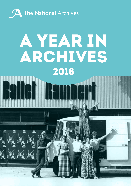

# A YEAR IN ARCHIVES 2018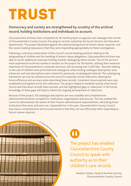## Trust

#### **Democracy and society are strengthened by scrutiny of the archival record, holding institutions and individuals to account.**

Gloucestershire Archives have completed an 18-month project to appraise and catalogue the records of Gloucestershire County Council, focusing on records created by the Social Services and Education departments. The project developed against the national background of historic abuse enquiries, and the council seeking reassurance that they were responding appropriately to these investigations.

Following a voluntary examination of the council's record-keeping practices relating to the safeguarding of children and the handling of historic abuse allegations, Gloucestershire Archives was able to secure additional corporate funding towards cataloguing these records. Two of the service's most experienced archivists worked in tandem on the project for 18 months, utilising their extensive experience of Gloucestershire's corporate structure, and surveying over 5,000 files. Records relating to the care of children were prioritised and catalogued, while existing catalogue descriptions were enhanced, and new descriptions were created for previously uncatalogued material. This cataloguing framework can now be utilised across the council's corporate record collections, allowing for future efficiency and accuracy when describing these records. Consistent closure periods were also established and applied across the collections. The project helped to establish exactly what Social Service and Education records have survived, and has highlighted gaps in collections. In the future, knowledge of these gaps will help to inform the ongoing development of collections.

Because of the project, full catalogue descriptions are now available and comprehensive administrative histories compiled for institutions, organisations and services. This has enabled the council to demonstrate the extent of their historic administrative responsibilities, identifying those institutions that were, and were not, responsible for in the past. Gloucestershire County Council now have a comprehensive and accurate resource that they can use effectively when responding to historic abuse enquiries.





The project has enabled Gloucestershire County Council to speak with authority as to their children's care records.

> Heather Forbes, Head of Archives Service, Gloucestershire County Council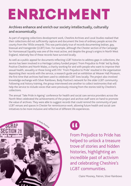# **ENRICHMENT**

#### **Archives enhance and enrich our society intellectually, culturally and economically.**

As part of ongoing collections development work, Cheshire Archives and Local Studies realised that their collections did not sufficiently capture and document the lives of ordinary people across the county from the 1950s onwards. This was particularly true of records documenting lesbian, gay, bisexual and transgender (LGBT) lives. For example, although the Chester section of the Campaign for Homosexual Equality was one of the most active, and despite the group's origins in North West England, relatively few of these records have survived locally.

As well as a public appeal for documents reflecting LGBT histories to address gaps in collections, the service has been involved in a Heritage Lottery funded project 'From Prejudice to Pride' led by Body Positive Cheshire and North Wales, a charity working for and with people who want to improve their sexual health, sexuality or those living with HIV. 'From Prejudice to Pride' resulted in the organisation depositing their records with the service, a research guide and an exhibition at Weaver Hall Museum, the first time that archives had been used to celebrate LGBT lives locally. The project also involved knowledge exchange with Silver Rainbows, Body Positive's network for the older LGBT community. Following oral history training, the group interviewed one another to collect testimonies that will help the service to include voices that were previously missing from the stories told by Cheshire's collections.

The annual 'Take Pride in Ageing' conference for health and social care service providers across the North West celebrated the achievements of the project and archive staff were on hand to promote the value of archives. They were able to suggest records that could remind the community of past LGBT venues and spaces in Chester for reminiscence work, allowing future health and social care initiatives to be more inclusive and reflective of different life experiences.





From Prejudice to Pride has helped to unlock a treasure trove of stories and hidden histories, highlighting an incredible past of activism and celebrating Cheshire's LGBT communities.

Claire Mooney, Patron, Silver Rainbows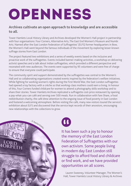# OPENNESS

#### **Archives cultivate an open approach to knowledge and are accessible to all.**

Tower Hamlets Local History Library and Archives developed the Women's Hall project in partnership with four organisations: Four Corners, Alternative Arts, The East End Women's Museum and Numbi Arts. Named after the East London Federation of Suffragettes' (ELFS) former headquarters in Bow, the Women's Hall went beyond the famous individuals of the movement by exploring lesser-known suffrage stories from East London.

The project featured two exhibitions and a series of weekly events based on the inclusive and proactive work of the suffragettes. Events included banner-making activities, a workshop on delivering activist speeches and a talk about Indian suffragettes, which provided a different perspective and resonated with new audiences. The events were supported by 95 volunteers and were free of charge to ensure that everyone could participate.

The community spirit and support demonstrated by the suffragettes was central to the Women's Hall and so collaborating organisations created events inspired by the federation's welfare initiatives. While fighting for working women's rights during the First World War, the East London suffragettes had opened a toy factory with a crèche so that working-class mothers could earn a living. In honour of this, Four Corners funded childcare for women to attend a photography skills workshop and to share their stories. Tower Hamlets Archives replicated a suffragette cost-price restaurant by opening a pay-what-you-can café and serving over 500 meals. Run in collaboration with Fare Share, a food redistribution charity, the café drew attention to the ongoing issue of food poverty in East London and fostered a welcoming atmosphere. Before visiting the café, many new visitors toured the service's exhibition about ELFS and discovered that the service kept records of their ancestors, encouraging new relationships with the collections to grow.



H

It has been such a joy to honour the memory of the East London Federation of Suffragettes with our own activism. Some people living in modern day East London still struggle to afford food and childcare or find work, and we have provided opportunities on all scores.

Lauren Sweeney, Volunteer Manager, The Women's Hall, Tower Hamlets Local History Library & Archives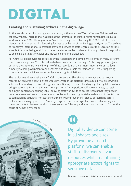## DIGITAL

### **Creating and sustaining archives in the digital age.**

As the world's largest human rights organisation, with more than 700 staff across 20 international offices, Amnesty International has been at the forefront of the fight against human rights abuses worldwide since 1961. The organisation's activities range from observing the 1962 trial of Nelson Mandela to its current work advocating for justice on behalf of the Rohingya in Myanmar. The archive of Amnesty's International Secretariat provides a service to staff regardless of their location or time zone, but despite their global focus, the service faces similar challenges to many others, in responding to changing digital technologies and increasing amounts digital data.

For Amnesty, digital evidence collected by its researchers and campaigners comes in many different forms, from snippets of YouTube videos to tweets and satellite footage. Protecting, preserving and ensuring the authenticity and integrity of these records is of the utmost importance, as it allows Amnesty to hold governments and organisations accountable for their actions, while supporting communities and individuals affected by human rights violations.

The service was already using Axiell's Calm software and SharePoint to manage and catalogue records but required a solution that would integrate these platforms into a full digital preservation solution. Responding to this challenge, archivist Bryony Hooper is building a global digital repository, using Preservica's Enterprise Private Cloud platform. This repository will allow Amnesty to retain and ingest content of enduring value, allowing staff worldwide to access records that they need in order to present evidence to international bodies and human rights stakeholders, and to contribute to campaigning activities. Metadata enrichment will improve the efficiency of searching across collections, opening up access to Amnesty's digitised and born-digital archives, and allowing staff the opportunity to learn more about the organisation's history and how it can be used to further the cause of human rights for all.



 $\overline{\mathbf{u}}$ 

Digital evidence can come in all shapes and sizes. By providing a search platform, we can enable staff to discover relevant resources while maintaining appropriate access rights to sensitive data.

Bryony Hooper, Archivist, Amnesty International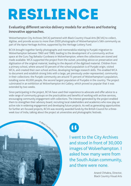### RESILIENCE

#### **Evaluating different service delivery models for archives and fostering innovative approaches.**

Wolverhampton City Archives (WCA) partnered with Black Country Visual Arts (BCVA) to collect, digitise, and provide access to more than 2000 photographs of Wolverhampton's Sikh community as part of the Apna Heritage Archive, supported by the Heritage Lottery Fund.

BCVA brought together family photographs and memorabilia relating to Punjabi migration to Wolverhampton between 1960 and 1989, leading to the development of a community archive space at the Guru Teg Bahadur Gurdwara in Wolverhampton, where the collections are stored and made available. WCA supported the project from the outset, providing advice on preservation and digitisation of the original material, leading to the deposit of the digitised material. Children from a primary school, where around 50 percent of the school population is of Punjabi origin, visited WCA, and created their own school archive, developing heritage research skills. This enabled WCA to document and establish strong links with a large, yet previously under-represented, community in their collections: the Punjabi community are around 15 percent of Wolverhampton's population, totalling some 40,000 people, the second largest population of Punjabis in the country. The project culminated in an exhibition at Wolverhampton Art Gallery, which proved so popular that it was extended by two weeks.

Since participating in the project, BCVA have used their experience to advocate and offer advice to a wide range of community groups on the practicalities and benefits of working with archive services, encouraging community engagement with collections. The interest generated by the project enabled them to strengthen their advisory board, recruiting local stakeholders and academics who now play an active role in widening engagement and developing future projects. As well as generating opportunities for further art-focused projects, BCVA was recently awarded funds by the British Council for a threeweek tour of India, talking about the project at universities and photographic festivals.





I went to the City Archives and stood in front of 30,000 images of Wolverhampton. I asked how many were from the South Asian community, and there were none.

> Anand Chhabra, Director, Black Country Visual Arts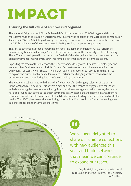### IMPACT

### **Ensuring the full value of archives is recognised.**

The National Fairground and Circus Archive (NFCA) holds more than 150,000 images and thousands more items relating to travelling entertainment. Following the donation of the Circus Friends Association Archive in 2016, the NFCA began looking for new ways to introduce these collections to the public, with the 250th anniversary of the modern circus in 2018 providing the perfect opportunity.

The service developed a broad programme of events, including the exhibition 'Circus Performers: Extraordinary Feats from Ordinary People' at the service's home at the University of Sheffield Library. The NFCA also participated in the university's Festival of the Mind, where the public were invited to an aerial performance inspired by research into female body image and the archive collections.

Expanding the reach of the collections, the service worked closely with Museums Sheffield, Tyne and Wear Archives & Museums, and Norfolk Museum Service to conserve and loan material for three exhibitions, 'Circus! Show of Shows'. The different exhibition spaces used records from the service to explore the histories of black and female circus artists, the changing attitudes towards animal performances, and the enduring impact of the circus in global culture.

The NFCA also collaborated with the children's charity Artfelt by hanging colourful circus posters in the local paediatric hospital. This offered a new audience the chance to enjoy archive collections while brightening their environment. Recognising the value of engaging broad audiences, the service has also brought collections out to other communities at Weston Park and Sheffield Fayres, sparking conversations with people unfamiliar with the NFCA's work and leading to an increase in visitors to the service. The NFCA plans to continue exploring opportunities like these in the future, developing new audiences to recognise the impact of archives.





We've been delighted to share our unique collections with new audiences this year and build networks that mean we can continue to expand our reach.

Angela Haighton, Head of the National Fairground and Circus Archive, The University of Sheffield